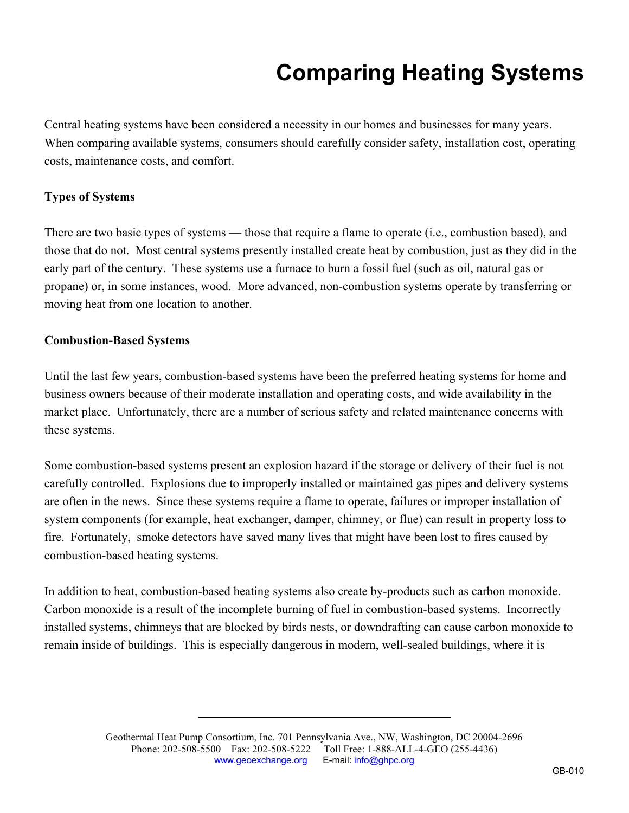# **Comparing Heating Systems**

Central heating systems have been considered a necessity in our homes and businesses for many years. When comparing available systems, consumers should carefully consider safety, installation cost, operating costs, maintenance costs, and comfort.

## **Types of Systems**

There are two basic types of systems — those that require a flame to operate (i.e., combustion based), and those that do not. Most central systems presently installed create heat by combustion, just as they did in the early part of the century. These systems use a furnace to burn a fossil fuel (such as oil, natural gas or propane) or, in some instances, wood. More advanced, non-combustion systems operate by transferring or moving heat from one location to another.

#### **Combustion-Based Systems**

Until the last few years, combustion-based systems have been the preferred heating systems for home and business owners because of their moderate installation and operating costs, and wide availability in the market place. Unfortunately, there are a number of serious safety and related maintenance concerns with these systems.

Some combustion-based systems present an explosion hazard if the storage or delivery of their fuel is not carefully controlled. Explosions due to improperly installed or maintained gas pipes and delivery systems are often in the news. Since these systems require a flame to operate, failures or improper installation of system components (for example, heat exchanger, damper, chimney, or flue) can result in property loss to fire. Fortunately, smoke detectors have saved many lives that might have been lost to fires caused by combustion-based heating systems.

In addition to heat, combustion-based heating systems also create by-products such as carbon monoxide. Carbon monoxide is a result of the incomplete burning of fuel in combustion-based systems. Incorrectly installed systems, chimneys that are blocked by birds nests, or downdrafting can cause carbon monoxide to remain inside of buildings. This is especially dangerous in modern, well-sealed buildings, where it is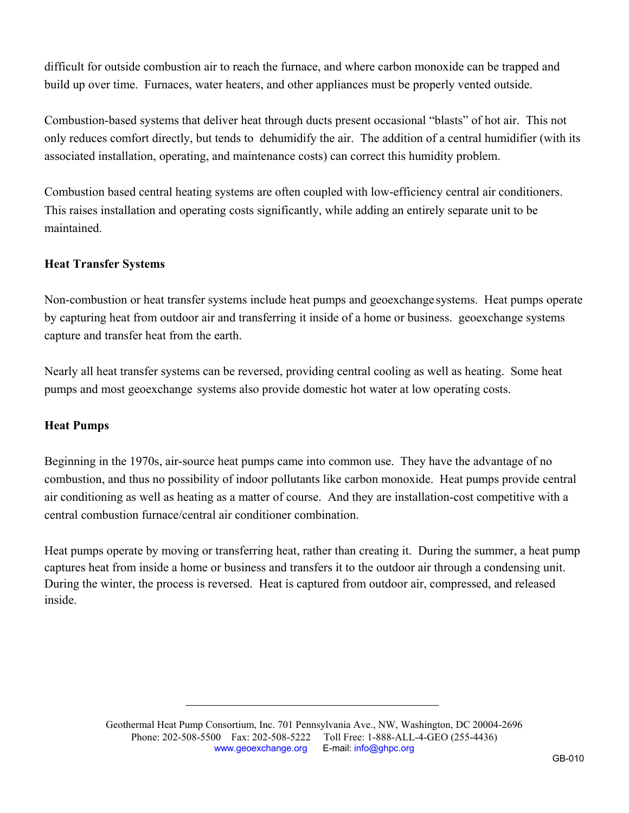difficult for outside combustion air to reach the furnace, and where carbon monoxide can be trapped and build up over time. Furnaces, water heaters, and other appliances must be properly vented outside.

Combustion-based systems that deliver heat through ducts present occasional "blasts" of hot air. This not only reduces comfort directly, but tends to dehumidify the air. The addition of a central humidifier (with its associated installation, operating, and maintenance costs) can correct this humidity problem.

Combustion based central heating systems are often coupled with low-efficiency central air conditioners. This raises installation and operating costs significantly, while adding an entirely separate unit to be maintained.

## **Heat Transfer Systems**

Non-combustion or heat transfer systems include heat pumps and geoexchange systems. Heat pumps operate by capturing heat from outdoor air and transferring it inside of a home or business. geoexchange systems capture and transfer heat from the earth.

Nearly all heat transfer systems can be reversed, providing central cooling as well as heating. Some heat pumps and most geoexchange systems also provide domestic hot water at low operating costs.

#### **Heat Pumps**

Beginning in the 1970s, air-source heat pumps came into common use. They have the advantage of no combustion, and thus no possibility of indoor pollutants like carbon monoxide. Heat pumps provide central air conditioning as well as heating as a matter of course. And they are installation-cost competitive with a central combustion furnace/central air conditioner combination.

Heat pumps operate by moving or transferring heat, rather than creating it. During the summer, a heat pump captures heat from inside a home or business and transfers it to the outdoor air through a condensing unit. During the winter, the process is reversed. Heat is captured from outdoor air, compressed, and released inside.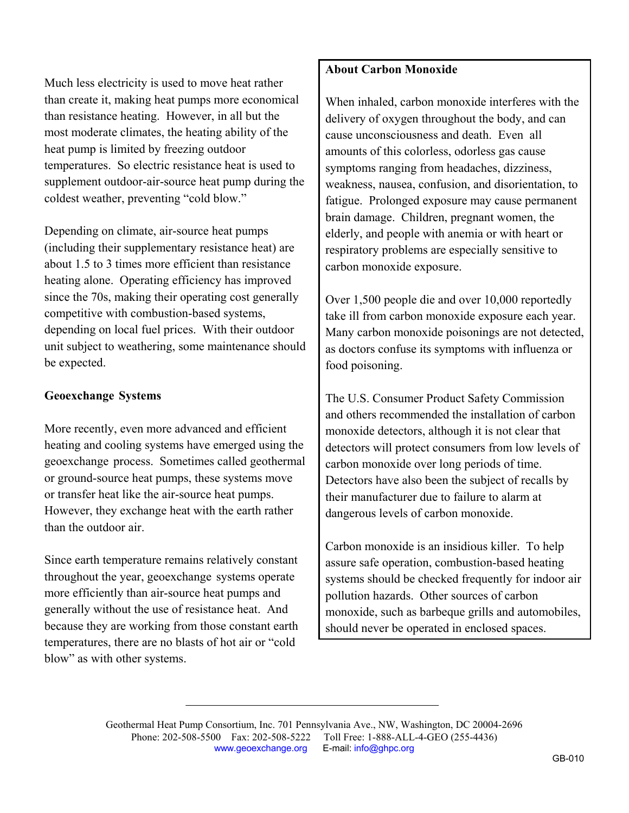Much less electricity is used to move heat rather than create it, making heat pumps more economical than resistance heating. However, in all but the most moderate climates, the heating ability of the heat pump is limited by freezing outdoor temperatures. So electric resistance heat is used to supplement outdoor-air-source heat pump during the coldest weather, preventing "cold blow."

Depending on climate, air-source heat pumps (including their supplementary resistance heat) are about 1.5 to 3 times more efficient than resistance heating alone. Operating efficiency has improved since the 70s, making their operating cost generally competitive with combustion-based systems, depending on local fuel prices. With their outdoor unit subject to weathering, some maintenance should be expected.

## **Geoexchange Systems**

More recently, even more advanced and efficient heating and cooling systems have emerged using the geoexchange process. Sometimes called geothermal or ground-source heat pumps, these systems move or transfer heat like the air-source heat pumps. However, they exchange heat with the earth rather than the outdoor air.

Since earth temperature remains relatively constant throughout the year, geoexchange systems operate more efficiently than air-source heat pumps and generally without the use of resistance heat. And because they are working from those constant earth temperatures, there are no blasts of hot air or "cold blow" as with other systems.

# **About Carbon Monoxide**

When inhaled, carbon monoxide interferes with the delivery of oxygen throughout the body, and can cause unconsciousness and death. Even all amounts of this colorless, odorless gas cause symptoms ranging from headaches, dizziness, weakness, nausea, confusion, and disorientation, to fatigue. Prolonged exposure may cause permanent brain damage. Children, pregnant women, the elderly, and people with anemia or with heart or respiratory problems are especially sensitive to carbon monoxide exposure.

Over 1,500 people die and over 10,000 reportedly take ill from carbon monoxide exposure each year. Many carbon monoxide poisonings are not detected, as doctors confuse its symptoms with influenza or food poisoning.

The U.S. Consumer Product Safety Commission and others recommended the installation of carbon monoxide detectors, although it is not clear that detectors will protect consumers from low levels of carbon monoxide over long periods of time. Detectors have also been the subject of recalls by their manufacturer due to failure to alarm at dangerous levels of carbon monoxide.

Carbon monoxide is an insidious killer. To help assure safe operation, combustion-based heating systems should be checked frequently for indoor air pollution hazards. Other sources of carbon monoxide, such as barbeque grills and automobiles, should never be operated in enclosed spaces.